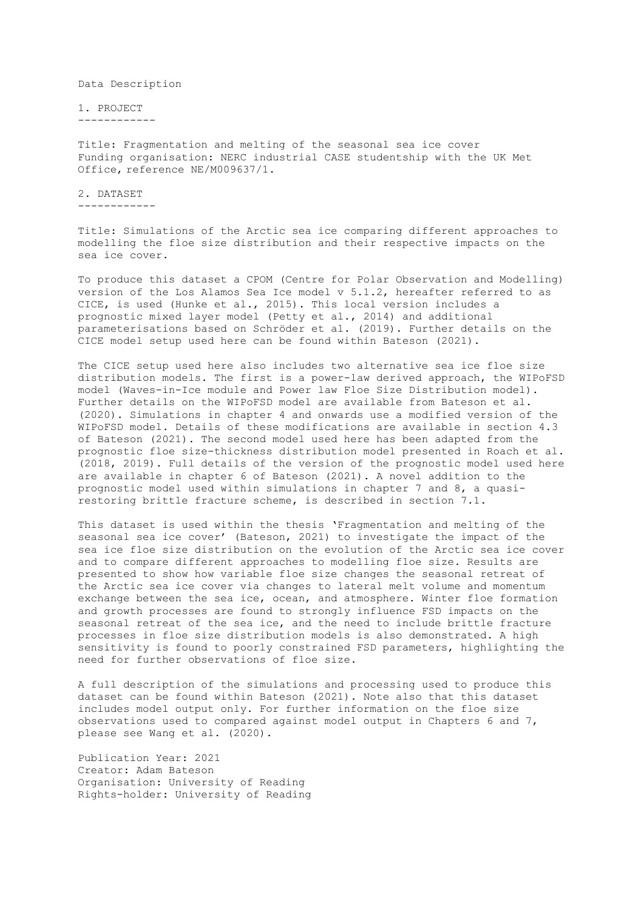Data Description

1. PROJECT ------------

Title: Fragmentation and melting of the seasonal sea ice cover Funding organisation: NERC industrial CASE studentship with the UK Met Office, reference NE/M009637/1.

2. DATASET ------------

Title: Simulations of the Arctic sea ice comparing different approaches to modelling the floe size distribution and their respective impacts on the sea ice cover.

To produce this dataset a CPOM (Centre for Polar Observation and Modelling) version of the Los Alamos Sea Ice model v 5.1.2, hereafter referred to as CICE, is used (Hunke et al., 2015). This local version includes a prognostic mixed layer model (Petty et al., 2014) and additional parameterisations based on Schröder et al. (2019). Further details on the CICE model setup used here can be found within Bateson (2021).

The CICE setup used here also includes two alternative sea ice floe size distribution models. The first is a power-law derived approach, the WIPoFSD model (Waves-in-Ice module and Power law Floe Size Distribution model). Further details on the WIPoFSD model are available from Bateson et al. (2020). Simulations in chapter 4 and onwards use a modified version of the WIPoFSD model. Details of these modifications are available in section 4.3 of Bateson (2021). The second model used here has been adapted from the prognostic floe size-thickness distribution model presented in Roach et al. (2018, 2019). Full details of the version of the prognostic model used here are available in chapter 6 of Bateson (2021). A novel addition to the prognostic model used within simulations in chapter 7 and 8, a quasirestoring brittle fracture scheme, is described in section 7.1.

This dataset is used within the thesis 'Fragmentation and melting of the seasonal sea ice cover' (Bateson, 2021) to investigate the impact of the sea ice floe size distribution on the evolution of the Arctic sea ice cover and to compare different approaches to modelling floe size. Results are presented to show how variable floe size changes the seasonal retreat of the Arctic sea ice cover via changes to lateral melt volume and momentum exchange between the sea ice, ocean, and atmosphere. Winter floe formation and growth processes are found to strongly influence FSD impacts on the seasonal retreat of the sea ice, and the need to include brittle fracture processes in floe size distribution models is also demonstrated. A high sensitivity is found to poorly constrained FSD parameters, highlighting the need for further observations of floe size.

A full description of the simulations and processing used to produce this dataset can be found within Bateson (2021). Note also that this dataset includes model output only. For further information on the floe size observations used to compared against model output in Chapters 6 and 7, please see Wang et al. (2020).

Publication Year: 2021 Creator: Adam Bateson Organisation: University of Reading Rights-holder: University of Reading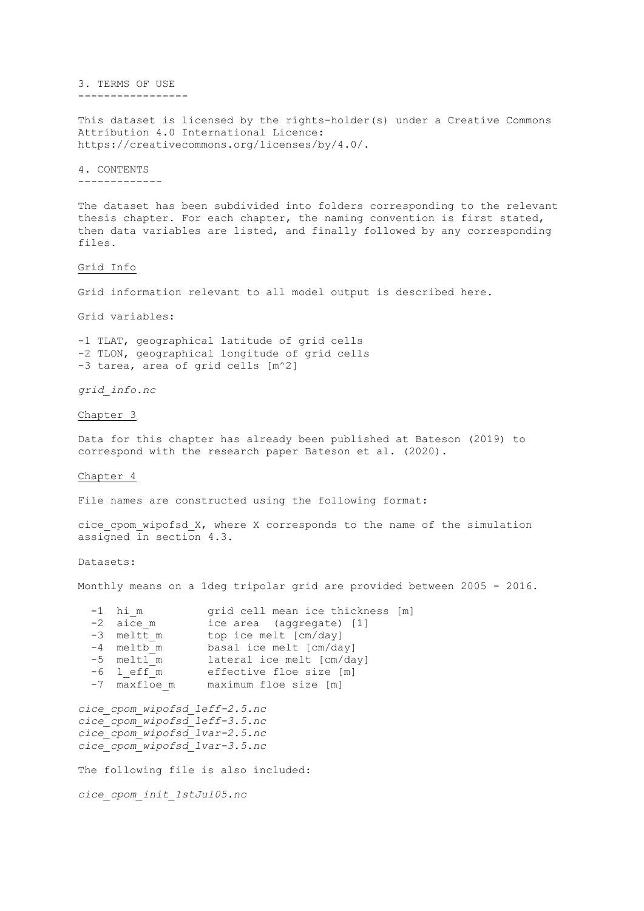3. TERMS OF USE -----------------

This dataset is licensed by the rights-holder(s) under a Creative Commons Attribution 4.0 International Licence: https://creativecommons.org/licenses/by/4.0/.

4. CONTENTS -------------

The dataset has been subdivided into folders corresponding to the relevant thesis chapter. For each chapter, the naming convention is first stated, then data variables are listed, and finally followed by any corresponding files.

Grid Info

Grid information relevant to all model output is described here.

Grid variables:

-1 TLAT, geographical latitude of grid cells -2 TLON, geographical longitude of grid cells -3 tarea, area of grid cells [m^2]

*grid\_info.nc*

Chapter 3

Data for this chapter has already been published at Bateson (2019) to correspond with the research paper Bateson et al. (2020).

Chapter 4

File names are constructed using the following format:

cice cpom wipofsd  $X$ , where X corresponds to the name of the simulation assigned in section 4.3.

Datasets:

Monthly means on a 1deg tripolar grid are provided between 2005 - 2016.

| $-1$ him     | grid cell mean ice thickness [m] |
|--------------|----------------------------------|
| $-2$ aice m  | ice area (aggregate) [1]         |
| -3 meltt m   | top ice melt [cm/day]            |
| -4 meltb m   | basal ice melt [cm/day]          |
| -5 meltl m   | lateral ice melt [cm/day]        |
| $-6$ leff m  | effective floe size [m]          |
| -7 maxfloe m | maximum floe size [m]            |
|              |                                  |

*cice\_cpom\_wipofsd\_leff-2.5.nc cice\_cpom\_wipofsd\_leff-3.5.nc cice\_cpom\_wipofsd\_lvar-2.5.nc cice\_cpom\_wipofsd\_lvar-3.5.nc*

The following file is also included:

*cice\_cpom\_init\_1stJul05.nc*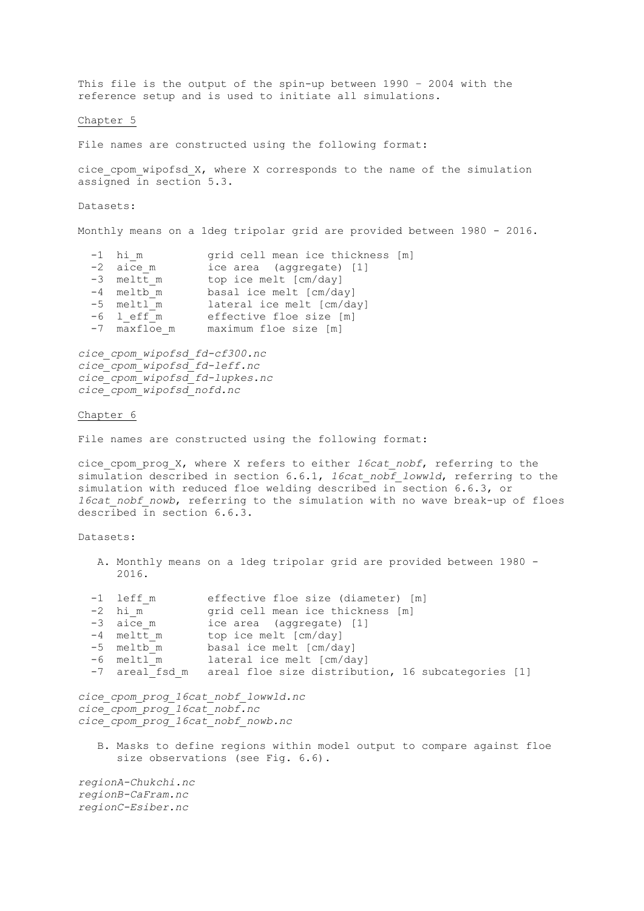This file is the output of the spin-up between 1990 – 2004 with the reference setup and is used to initiate all simulations.

Chapter 5

File names are constructed using the following format:

cice cpom wipofsd  $X$ , where X corresponds to the name of the simulation assigned in section 5.3.

Datasets:

Monthly means on a 1deg tripolar grid are provided between 1980 - 2016.

| $-1$ him<br>-2 aice m<br>-3 meltt m<br>-4 meltb m<br>-5 meltl m | grid cell mean ice thickness [m]<br>ice area (aggregate) [1]<br>top ice melt [cm/day]<br>basal ice melt [cm/day]<br>lateral ice melt [cm/day] |
|-----------------------------------------------------------------|-----------------------------------------------------------------------------------------------------------------------------------------------|
|                                                                 |                                                                                                                                               |
| $-6$ leff m                                                     | effective floe size [m]                                                                                                                       |
| -7 maxfloe m                                                    | maximum floe size [m]                                                                                                                         |

*cice\_cpom\_wipofsd\_fd-cf300.nc cice\_cpom\_wipofsd\_fd-leff.nc cice\_cpom\_wipofsd\_fd-lupkes.nc cice\_cpom\_wipofsd\_nofd.nc*

## Chapter 6

File names are constructed using the following format:

cice\_cpom\_prog\_X, where X refers to either *16cat\_nobf*, referring to the simulation described in section 6.6.1, *16cat\_nobf\_lowwld*, referring to the simulation with reduced floe welding described in section 6.6.3, or *16cat nobf nowb*, referring to the simulation with no wave break-up of floes described in section 6.6.3.

Datasets:

A. Monthly means on a 1deg tripolar grid are provided between 1980 - 2016.

| -1 leff m<br>$-2$ him<br>$-3$ aice m<br>-4 meltt m<br>-5 meltb m<br>$-6$ meltl m | effective floe size (diameter) [m]<br>grid cell mean ice thickness [m]<br>ice area (aggregate) [1]<br>top ice melt [cm/day]<br>basal ice melt [cm/day]<br>lateral ice melt [cm/day]<br>-7 areal fsd m areal floe size distribution, 16 subcategories [1] |
|----------------------------------------------------------------------------------|----------------------------------------------------------------------------------------------------------------------------------------------------------------------------------------------------------------------------------------------------------|
| cice cpom prog 16cat nobf.nc                                                     | cice cpom prog 16cat nobf lowwld.nc<br>cice cpom prog 16cat nobf nowb.nc                                                                                                                                                                                 |
|                                                                                  | B. Masks to define regions within model output to compare against floe<br>size observations (see Fig. 6.6).                                                                                                                                              |
| regionA-Chukchi.nc<br>regionB-CaFram.nc<br>regionC-Esiber.nc                     |                                                                                                                                                                                                                                                          |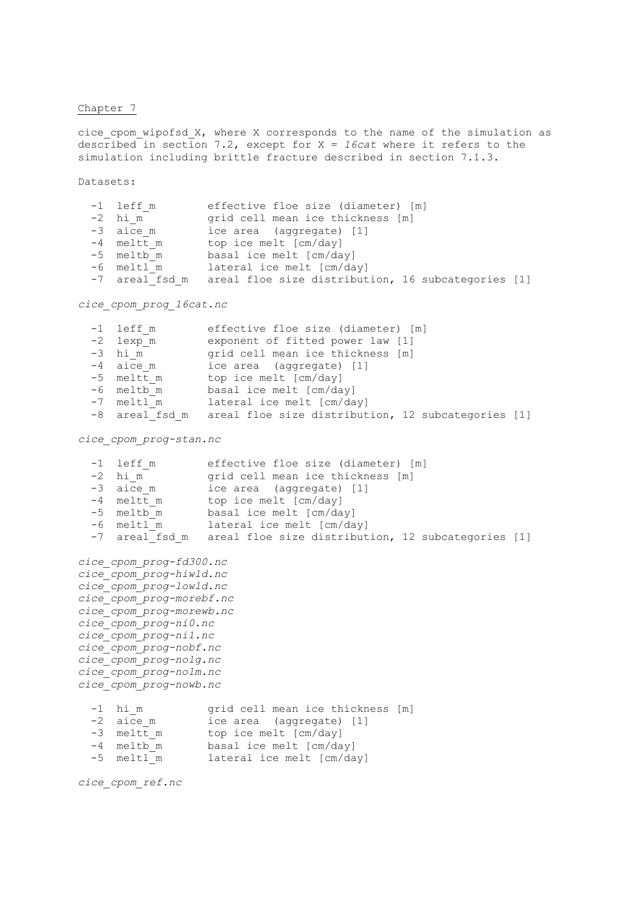## Chapter 7

cice\_cpom\_wipofsd\_X, where X corresponds to the name of the simulation as described in section 7.2, except for X = *16cat* where it refers to the simulation including brittle fracture described in section 7.1.3.

Datasets:

| effective floe size (diameter) [m]<br>$-1$ leff m                 |  |
|-------------------------------------------------------------------|--|
| $-2$ him<br>grid cell mean ice thickness [m]                      |  |
| $-3$ aice m<br>ice area (aggregate) [1]                           |  |
| $-4$ meltt m<br>top ice melt [cm/day]                             |  |
| basal ice melt [cm/day]<br>-5 meltb m                             |  |
| lateral ice melt [cm/day]<br>-6 meltl m                           |  |
| -7 areal fsd m areal floe size distribution, 16 subcategories [1] |  |

*cice\_cpom\_prog\_16cat.nc*

|  | $-1$ leff m  | effective floe size (diameter) [m]                                |
|--|--------------|-------------------------------------------------------------------|
|  | -2 lexp m    | exponent of fitted power law [1]                                  |
|  | $-3$ him     | grid cell mean ice thickness [m]                                  |
|  | $-4$ aice m  | ice area (aggregate) [1]                                          |
|  | $-5$ meltt m | top ice melt [cm/day]                                             |
|  | -6 meltb m   | basal ice melt [cm/day]                                           |
|  | -7 meltl m   | lateral ice melt [cm/day]                                         |
|  |              | -8 areal fsd m areal floe size distribution, 12 subcategories [1] |

*cice\_cpom\_prog-stan.nc*

| $-1$<br>$-2$<br>$-4$ | leff m<br>hi m                                                                                                                                                                                                                                                                                  | effective floe size (diameter) [m]<br>grid cell mean ice thickness [m]<br>-3 aice m ice area (aggregate) [1]<br>meltt m top ice melt [cm/day]<br>-5 meltb m basal ice melt [cm/day]<br>-6 meltl m lateral ice melt [cm/day] |  |
|----------------------|-------------------------------------------------------------------------------------------------------------------------------------------------------------------------------------------------------------------------------------------------------------------------------------------------|-----------------------------------------------------------------------------------------------------------------------------------------------------------------------------------------------------------------------------|--|
|                      |                                                                                                                                                                                                                                                                                                 | -7 areal fsd m areal floe size distribution, 12 subcategories [1]                                                                                                                                                           |  |
|                      | cice cpom prog-fd300.nc<br>cice cpom prog-hiwld.nc<br>cice cpom prog-lowld.nc<br>cice cpom prog-morebf.nc<br>cice cpom prog-morewb.nc<br>cice cpom prog-ni0.nc<br>cice cpom prog-nil.nc<br>cice cpom prog-nobf.nc<br>cice cpom prog-nolg.nc<br>cice cpom prog-nolm.nc<br>cice cpom prog-nowb.nc |                                                                                                                                                                                                                             |  |
| $-2$<br>$-5$         | $-1$ him<br>aice m<br>meltl m                                                                                                                                                                                                                                                                   | grid cell mean ice thickness [m]<br>ice area (aggregate) [1]<br>-3 meltt m top ice melt [cm/day]<br>-4 meltb m basal ice melt [cm/day]<br>lateral ice melt [cm/day]                                                         |  |

*cice\_cpom\_ref.nc*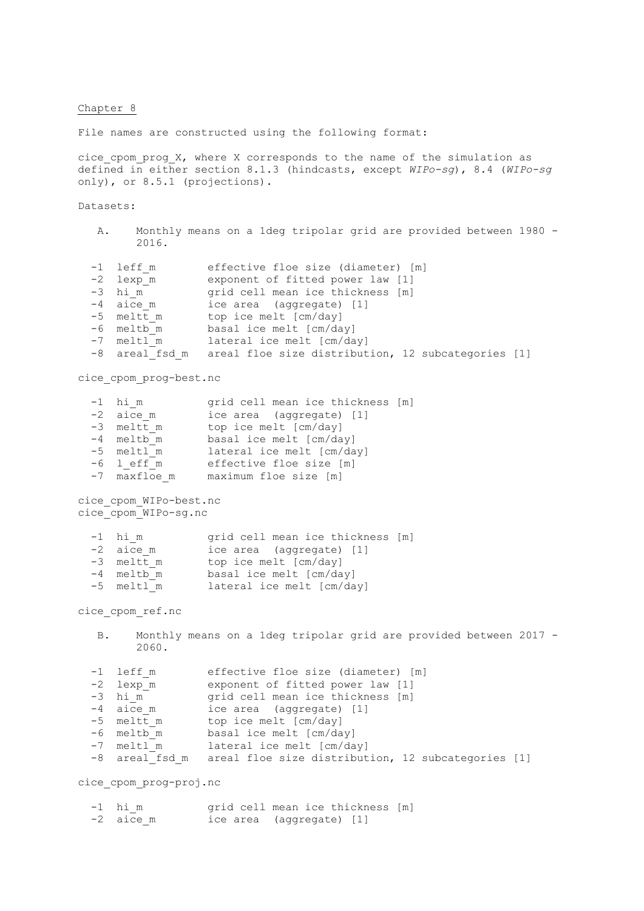## Chapter 8

File names are constructed using the following format:

cice cpom prog X, where X corresponds to the name of the simulation as defined in either section 8.1.3 (hindcasts, except *WIPo-sg*), 8.4 (*WIPo-sg*  only), or 8.5.1 (projections).

Datasets:

| 2016.                                                                                     | A. Monthly means on a 1deg tripolar grid are provided between 1980 -                                                                                                                                                                                                                         |
|-------------------------------------------------------------------------------------------|----------------------------------------------------------------------------------------------------------------------------------------------------------------------------------------------------------------------------------------------------------------------------------------------|
| -1 leff m<br>-2 lexp m<br>$-3$ him<br>-4 aice m<br>-5 meltt m<br>-6 meltb m<br>-7 meltl m | effective floe size (diameter) [m]<br>exponent of fitted power law [1]<br>grid cell mean ice thickness [m]<br>ice area (aggregate) [1]<br>top ice melt [cm/day]<br>basal ice melt [cm/day]<br>lateral ice melt [cm/day]<br>-8 areal fsd m areal floe size distribution, 12 subcategories [1] |
| cice cpom prog-best.nc                                                                    |                                                                                                                                                                                                                                                                                              |
| $-1$ him<br>$-2$ aice m<br>$2 \cdot m \cdot 1 + m$                                        | grid cell mean ice thickness [m]<br>ice area (aggregate) [1]                                                                                                                                                                                                                                 |

| $-3$ meltt m | top ice melt [cm/day]   |
|--------------|-------------------------|
| -4 meltb m   | basal ice melt [cm/day] |

- -5 meltl m lateral ice melt [cm/day]
- -6 l eff m effective floe size [m]
- -7 maxfloe m maximum floe size [m]

cice\_cpom\_WIPo-best.nc cice\_cpom\_WIPo-sg.nc

| $-1$ him     | grid cell mean ice thickness [m] |
|--------------|----------------------------------|
| $-2$ aice m  | ice area (aggregate) [1]         |
| $-3$ meltt m | top ice melt [cm/day]            |
| $-4$ meltb m | basal ice melt [cm/day]          |
| $-5$ meltl m | lateral ice melt [cm/day]        |

cice\_cpom\_ref.nc

## B. Monthly means on a 1deg tripolar grid are provided between 2017 - 2060.

| $-1$ leff m | effective floe size (diameter) [m]                                |
|-------------|-------------------------------------------------------------------|
| -2 lexp m   | exponent of fitted power law [1]                                  |
| $-3$ him    | grid cell mean ice thickness [m]                                  |
| $-4$ aice m | ice area (aggregate) [1]                                          |
| -5 meltt m  | top ice melt [cm/day]                                             |
| -6 meltb m  | basal ice melt [cm/day]                                           |
| -7 meltl m  | lateral ice melt [cm/day]                                         |
|             | -8 areal fsd m areal floe size distribution, 12 subcategories [1] |

cice\_cpom\_prog-proj.nc

| $-1$ him    | grid cell mean ice thickness [m] |  |
|-------------|----------------------------------|--|
| $-2$ aice m | ice area (aggregate) [1]         |  |